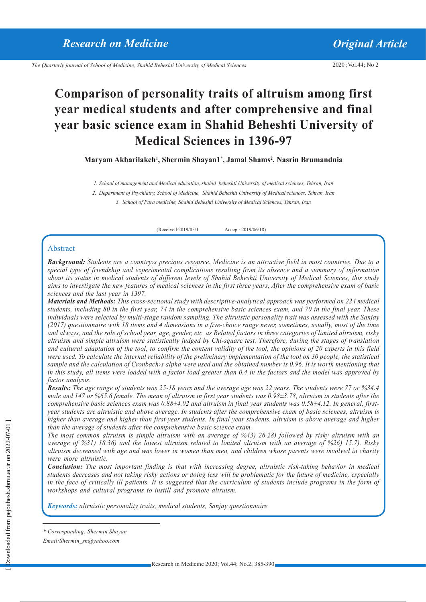2020 ;Vol.44; No 2

## **Comparison of personality traits of altruism among first year medical students and after comprehensive and final year basic science exam in Shahid Beheshti University of Medical Sciences in 1396-97**

**Maryam Akbarilakeh1 , Shermin Shayan1\* , Jamal Shams2 , Nasrin Brumandnia**

*1. School of management and Medical education, shahid beheshti University of medical sciences, Tehran, Iran*

*2. Department of Psychiatry, School of Medicine, Shahid Beheshti University of Medical sciences, Tehran, Iran*

*3. School of Para medicine, Shahid Beheshti University of Medical Sciences, Tehran, Iran* 

(Received:2019/05/1 Accept: 2019/06/18)

#### Abstract

*Background: Students are a country›s precious resource. Medicine is an attractive field in most countries. Due to a special type of friendship and experimental complications resulting from its absence and a summary of information about its status in medical students of different levels of Shahid Beheshti University of Medical Sciences, this study aims to investigate the new features of medical sciences in the first three years, After the comprehensive exam of basic sciences and the last year in 1397.*

*Materials and Methods: This cross-sectional study with descriptive-analytical approach was performed on 224 medical students, including 80 in the first year, 74 in the comprehensive basic sciences exam, and 70 in the final year. These individuals were selected by multi-stage random sampling. The altruistic personality trait was assessed with the Sanjay (2017) questionnaire with 18 items and 4 dimensions in a five-choice range never, sometimes, usually, most of the time and always, and the role of school year, age, gender, etc. as Related factors in three categories of limited altruism, risky altruism and simple altruism were statistically judged by Chi-square test. Therefore, during the stages of translation and cultural adaptation of the tool, to confirm the content validity of the tool, the opinions of 20 experts in this field were used. To calculate the internal reliability of the preliminary implementation of the tool on 30 people, the statistical sample and the calculation of Cronbach›s alpha were used and the obtained number is 0.96. It is worth mentioning that in this study, all items were loaded with a factor load greater than 0.4 in the factors and the model was approved by factor analysis.*

*Results: The age range of students was 25-18 years and the average age was 22 years. The students were 77 or %34.4 male and 147 or %65.6 female. The mean of altruism in first year students was 0.98±3.78, altruism in students after the comprehensive basic sciences exam was 0.88±4.02 and altruism in final year students was 0.58±4.12. In general, firstyear students are altruistic and above average. In students after the comprehensive exam of basic sciences, altruism is higher than average and higher than first year students. In final year students, altruism is above average and higher than the average of students after the comprehensive basic science exam.*

*The most common altruism is simple altruism with an average of %43( 26.28) followed by risky altruism with an average of %31( 18.36) and the lowest altruism related to limited altruism with an average of %26( 15.7). Risky altruism decreased with age and was lower in women than men, and children whose parents were involved in charity were more altruistic.*

*Conclusion: The most important finding is that with increasing degree, altruistic risk-taking behavior in medical students decreases and not taking risky actions or doing less will be problematic for the future of medicine, especially in the face of critically ill patients. It is suggested that the curriculum of students include programs in the form of workshops and cultural programs to instill and promote altruism.*

*Keywords: altruistic personality traits, medical students, Sanjay questionnaire*

*Email:Shermin\_sn@yahoo.com*

*<sup>\*</sup> Corresponding: Shermin Shayan*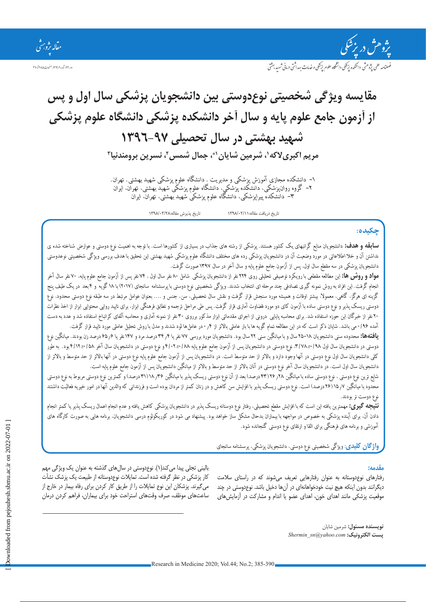

ور ۴۴ شاره ۲۹۰ ، ۱۳۹۹ صفحات ۳۹۰ تا ۳۹۰

ضلنامه علمي يثوهثي دائشكده يزيحكي دانشخاه علوم يزشكي و خدمات بهداشتي دباني شهيد بهشتي

# **مقایسه ویژگی شخصیتی نوعدوستی بین دانشجویان پزشکی سال اول و پس از آزمون جامع علوم پایه و سال آخر دانشکده پزشکی دانشگاه علوم پزشکی شهید بهشتی در سال تحصیلی 1396-97** مریم اکبریلاکه **'، شرمین شایان <sup>۱</sup>۴، جمال شمس <sup>7</sup>، نسرین برومندنیا <del>ّ</del>**

*-1 دانشکده مجازی آموزش پزشکی و مدیریت . دانشگاه علوم پزشکی شهید بهشتی. تهران. -2 گروه روانپزشکی، دانشکده پزشکی، دانشگاه علوم پزشکی شهید بهشتی، تهران، ایران*

*-3 دانشکده پیراپزشکی، دانشگاه علوم پزشکی شهید بهشتی، تهران، ایران*

تاریخ دریافت مقاله1398/02/11: تاریخ پذیرش مقاله1398/03/28:

## **چكيده:**

**سابقه و هدف:** *دانشجویان منابع گرانبهای یک کشور هستند. پزشکی از رشته های جذاب در بسیاری از کشورها است. با توجه به اهمیت نوع دوستی و عوارض شناخته شده ی نداشتن آن و خال اطالعاتی در مورد وضعیت آن در دانشجویان پزشکی رده های مختلف دانشگاه علوم پزشکی شهید بهشتی این تحقیق با هدف بررسی ویژگی شخصیتی نوعدوستی دانشجویان پزشکی در سه مقطع سال اول، پس از آزمون جامع علوم پایه و سال آخر در سال 1397 صورت گرفت.*

**مواد و روش ها:** *این مطالعه مقطعی با رویکرد توصیفی تحلیلی روی 224 نفر از دانشجویان پزشکی شامل 80 نفر سال اول ، 74 نفر پس از آزمون جامع علوم پایه، 70 نفر سال آخر انجام گرفت. این افراد به روش نمونه گیری تصادفی چند مرحله ای انتخاب شدند. ویژگی شخصیتی نوع دوستی با پرسشنامه سانجای )2017( با 18 گویه و 4 بعد در یک طیف پنج گزینه ای هرگز، گاهی، معموال، بیشتر اوقات و همیشه مورد سنجش قرار گرفت و نقش سال تحصیلی، سن، جنس و .... بعنوان عوامل مرتبط در سه طبقه نوع دوستی محدود، نوع دوستی ریسک پذیر و نوع دوستی ساده با آزمون کای دو مورد قضاوت آماری قرار گرفت. پس طی مراحل ترجمه و تطابق فرهنگی ابزار، برای تایید روایی محتوایی ابزار از اخذ نظرات*  ۲۰ نفر از خبرگان این حوزه استفاده شد. برای محاسبه پایایی درونی از اجرای مقدماتی ابزار مذکور برروی ۳۰ نفر از نمونه آماری و محاسبه آلفای کرانباخ استفاده شد و عدد به دست *آمده 0/96 می باشد. شایان ذکر است که در این مطالعه تمام گویه ها با بار عاملی باالتر از 0.4 در عاملها لود شدند و مدل با روش تحلیل عاملی مورد تایید قرار گرفت.* 

**یافتهها:** محدوده سنی دانشجویان 1۸–78 سال و با میانگین سنی ۲۲ سال بود. دانشجویان مورد بررسی ۷۷ نفر یا ۵۶ از مع درصد زن بودند. میانگین نوع دوستی در دانشجویان سال اول ۹۸/+۱۷۸، نوع دوستی در دانشجویان پس از آزمون جامع علوم پایه ۱۸۸/+۱۲/۶و نوع دوستی در دانشجویان سال آخر ۱۵۸/+۱۷۲بود. به طور کلی دانشجویان سال اول نوع دوستی در آنها وجود دارد و بالاتر از حد متوسط است. در دانشجویان پس از آزمون جامع علوم پایه نوع دوستی در آنها بالاتر از حد متوسط و بالاتر از دانشجویان سال اول است. در دانشجویان سال آخر نوع دوستی در آنان بالاتر از حد متوسط و بالاتر از میانگین دانشجویان پس از آزمون جامع علوم پایه است.

شایع ترین نوع دوستی ، نوع دوستی ساده با میانگین ۲۸؍ ۲۶ (۲۶ درصد) بعد از آن نوع دوستی ریسک پذیر با ۳۱ ۱۸٫۳۶ درصد( می درستی مربوط به نوع دوستی محدود با میانگین *۷۸ (*۲۶ درصد) است. نوع دوستی ریسک پذیر با افزایش سن کاهش و در زنان کمتر از مردان بوده است و فرزندانی که والدین آنها در امور خیریه فعالیت داشتند *نوع دوست تر بودند.* 

**نتیجه گیری:** *مهمترین یافته این است که با افزایش مقطع تحصیلی، رفتار نوع دوستانه ریسک پذیر در دانشجویان پزشکی کاهش یافته و عدم انجام اعمال ریسک پذیر یا کمتر انجام دادن آن، برای آینده پزشکی به خصوص در مواجهه با بیماران بدحال مشکل ساز خواهد بود. پیشنهاد می شود در کوریکولوم درسی دانشجویان، برنامه هایی به صورت کارگاه های آموزشی و برنامه های فرهنگی برای القا و ارتقای نوع دوستی گنجانده شود.* 

**واژگان كلیدی**: *ویژگی شخصیتی نوع دوستی، دانشجویان پزشکی، پرسشنامه سانجای*

## **مقدمه:**

رفتارهای نوعدوستانه به عنوان رفتارهایی تعریف میشوند که در راستای سالمت دیگرانند بدون اینکه هیچ نیت خودخواهانهای در آنها دخیل باشد. نوعدوستی در چند موقعیت پزشکی مانند اهدای خون، اهدای عضو یا اندام و مشارکت در آزمایشهای

بالینی تجلی پیدا میکند)1(. نوعدوستی در سالهای گذشته به عنوان یک ویژگی مهم کار پزشکی در نظر گرفته شده است. تمایالت نوعدوستانه از طبیعت یک پزشک نشأت میگیرند. پزشکان این نوع تمایالت را از طریق کار کردن برای رفاه بیمار در خارج از ساعتهای موظف، صرف وقتهای استراحت خود برای بیماران، فراهم کردن درمان

> **نویسنده مسئول:** شرمین شایان *Shermin\_sn@yahoo.com* **:الکترونیک پست**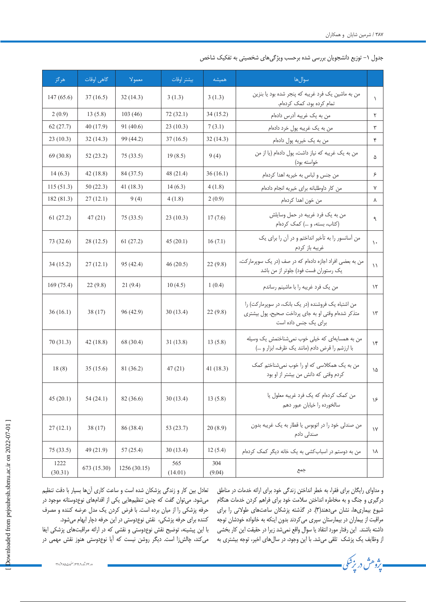جدول ۰۱ توزیع دانشجویان بررسی شده برحسب ویژگیهای شخصیتی به تفکیک شاخص

| هر گز           | گاهي اوقات  | معمولا      | بيشتر اوقات    | هميشه         | سوالها                                                                                                                           |               |
|-----------------|-------------|-------------|----------------|---------------|----------------------------------------------------------------------------------------------------------------------------------|---------------|
| 147(65.6)       | 37(16.5)    | 32(14.3)    | 3(1.3)         | 3(1.3)        | من به ماشین یک فرد غریبه که پنجر شده بود یا بنزین<br>تمام کرده بود، کمک کردهام.                                                  | $\sqrt{2}$    |
| 2(0.9)          | 13(5.8)     | 103(46)     | 72 (32.1)      | 34(15.2)      | من به یک غریبه آدرس دادهام                                                                                                       | ٢             |
| 62(27.7)        | 40 (17.9)   | 91 (40.6)   | 23(10.3)       | 7(3.1)        | من به یک غریبه پول خرد دادهام                                                                                                    | ٣             |
| 23(10.3)        | 32(14.3)    | 99 (44.2)   | 37(16.5)       | 32(14.3)      | من به یک خیریه پول دادهام                                                                                                        | ۴             |
| 69 (30.8)       | 52(23.2)    | 75(33.5)    | 19(8.5)        | 9(4)          | من به یک غریبه که نیاز داشت، پول دادهام (یا از من<br>خواسته بود)                                                                 | ۵             |
| 14(6.3)         | 42(18.8)    | 84 (37.5)   | 48 (21.4)      | 36(16.1)      | من جنس و لباس به خیریه اهدا کردهام                                                                                               | ۶             |
| 115(51.3)       | 50(22.3)    | 41 (18.3)   | 14(6.3)        | 4(1.8)        | من كار داوطلبانه براى خيريه انجام دادهام                                                                                         | ٧             |
| 182 (81.3)      | 27(12.1)    | 9(4)        | 4(1.8)         | 2(0.9)        | من خون اهدا كردهام                                                                                                               | ٨             |
| 61(27.2)        | 47(21)      | 75(33.5)    | 23(10.3)       | 17(7.6)       | من به يک فرد غريبه در حمل وسايلش<br>(کتاب، بسته، و ) کمک کردهام                                                                  | ٩             |
| 73 (32.6)       | 28(12.5)    | 61(27.2)    | 45(20.1)       | 16(7.1)       | من آسانسور را به تأخیر انداختم و در آن را برای یک<br>غريبه باز كردم                                                              | $\lambda$     |
| 34(15.2)        | 27(12.1)    | 95 (42.4)   | 46(20.5)       | 22(9.8)       | من به بعضی افراد اجازه دادهام که در صف (در یک سوپرمارکت،<br>یک رستوران فست فود) جلوتر از من باشد                                 | $\setminus$   |
| 169(75.4)       | 22(9.8)     | 21(9.4)     | 10(4.5)        | 1(0.4)        | من یک فرد غریبه را با ماشینم رساندم                                                                                              | $\lambda$     |
| 36(16.1)        | 38(17)      | 96 (42.9)   | 30(13.4)       | 22(9.8)       | من اشتباه یک فروشنده (در یک بانک، در سوپرمارکت) را<br>متذکر شدهام وقتی او به جای پرداخت صحیح، پول بیشتری<br>برای یک جنس داده است | $\mathcal{N}$ |
| 70 (31.3)       | 42 (18.8)   | 68 (30.4)   | 31(13.8)       | 13(5.8)       | من به همسایهای که خیلی خوب نمی شناختمش یک وسیله<br>با ارزشم را قرض دادم (مانند یک ظرف، ابزار و )                                 | $\gamma$      |
| 18(8)           | 35(15.6)    | 81 (36.2)   | 47(21)         | 41 $(18.3)$   | من به یک همکلاسی که او را خوب نمیشناختم کمک<br>كردم وقتى كه دانش من بيشتر از او بود                                              | ۱۵            |
| 45(20.1)        | 54(24.1)    | 82 (36.6)   | 30(13.4)       | 13(5.8)       | من كمك كردهام كه يك فرد غريبه معلول يا<br>سالخورده را خيابان عبور دهم                                                            | ۱۶            |
| 27(12.1)        | 38(17)      | 86 (38.4)   | 53 (23.7)      | 20(8.9)       | من صندلی خود را در اتوبوس یا قطار به یک غریبه بدون<br>صندلی دادم                                                                 | $\gamma$      |
| 75(33.5)        | 49 (21.9)   | 57(25.4)    | 30(13.4)       | 12(5.4)       | من به دوستم در اسباب کشی به یک خانه دیگر کمک کردهام                                                                              | ۱۸            |
| 1222<br>(30.31) | 673 (15.30) | 1256(30.15) | 565<br>(14.01) | 304<br>(9.04) | جمع                                                                                                                              |               |

و مداوای رایگان برای فقرا، به خطر انداختن زندگی خود برای ارائه خدمات در مناطق درگیری و جنگ و به مخاطره انداختن سالمت خود برای فراهم کردن خدمات هنگام شیوع بیماریها، نشان میدهند)3(. در گذشته پزشکان ساعتهای طوالنی را برای مراقبت از بیماران در بیمارستان سپری میکردند بدون اینکه به خانواده خودشان توجه داشته باشند. این رفتار مورد انتقاد یا سوال واقع نمیشد زیرا در حقیقت این کار بخشی از وظایف یک پزشک تلقی میشد. با این وجود، در سالهای اخیر، توجه بیشتری به

. پژوهش در بزشکی <mark>.</mark>

تعادل بین کار و زندگی پزشکان شده است و ساعت کاری آنها بسیار با دقت تنظیم میشود. میتوان گفت که چنین تنظیمهایی یکی از اقدامهای نوعدوستانه موجود در حرفه پزشکی را از میان برده است. با فرض کردن یک مدل عرضه کننده و مصرف کننده برای حرفه پزشکی، نقش نوعدوستی در این حرفه دچار ابهام میشود.

با این پیشینه، توضیح نقش نوعدوستی و نقشی که در ارائه مراقبتهای پزشکی ایفا میکند، چالشزا است. دیگر روشن نیست که آیا نوعدوستی هنوز نقش مهمی در

دور ،44 شماره ،2 ،1399 صفحات 385 ات 390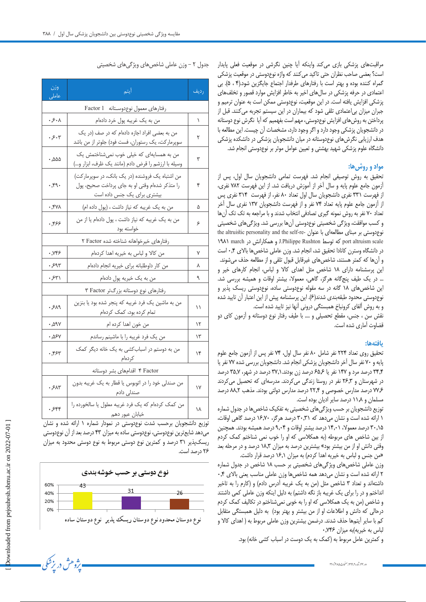مراقبتهای پزشکی بازی میکند واینکه آیا چنین نگرشی در موقعیت فعلی پایدار است؟ بعضی صاحب نظران حتی تاکید میکنند که واژه نوعدوستی در موقعیت پزشکی گمراه کننده بوده و بهتر است با رفتارهای طرفدار اجتماع جایگزین شود.)4 ، 5(. بی اعتمادی در حرفه پزشکی در سالهای اخیر به خاطر افزایش موارد قصور و تخلفهای پزشکی افزایش یافته است. در این موقعیت، نوعدوستی ممکن است به عنوان ترمیم و جبران میزان بیاعتمادی تلقی شود که بیماران در این سیستم تجربه میکنند. قبل از پرداختن به روشهای افزایش نوعدوستی، مهم است بفهمیم که آیا نگرش نوع دوستانه در دانشجویان پزشکی وجود دارد و اگر وجود دارد، مشخصات آن چیست. این مطالعه با هدف ارزیابی نگرشهای نوعدوستانه در میان دانشجویان پزشکی در دانشکده پزشکی دانشگاه علوم پزشکی شهید بهشتی و تعیین عوامل موثر بر نوعدوستی انجام شد.

## **مواد و روشها:**

تحقیق به روش توصیفی انجام شد. فهرست تمامی دانشجویان سال اول، پس از آزمون جامع علوم پایه و سال آخر از آموزش دریافت شد. از این فهرست 782 نفری، از فهرست 331 نفری دانشجویان سال اول تعداد 80 نفر، از فهرست 314 نفری پس از آزمون جامع علوم پایه تعداد 74 نفر و از فهرست دانشجویان 137 نفری سال آخر تعداد 70 نفر به روش نمونه گیری تصادفی انتخاب شدند و با مراجعه به تک تک آنها و کسب موافقت، ویژگی شخصیتی نوعدوستی آنها بررسی شد. ویژگیهای شخصیتی نوع دوستی بر مبنای مطالعهای با عنوان -the altruistic personality and the self-re 1981 march در همکارانش و J.Philippe Rushton توسط که port altruism scale در دانشگاه وسترن کانادا تحقیق شد، انجام شد. وزن عاملی شاخصها باالی 0.4 است و آنها که کمتر هستند، شاخصهای غیرقابل قبول تلقی و از مطالعه حذف میشوند. این پرسشنامه دارای 18 شاخص مثل اهدای کاال و لباس، انجام کارهای خیر و ... در یک طیف پنجگانه هرگز، گاهی، معموال، بیشتر اوقات و همیشه بررسی شد. این شاخصهای 18 گانه در سه مقوله نوعدوستی ساده، نوعدوستی ریسک پذیر و نوعدوستی محدود طبقهبندی شدند)6(. این پرسشنامه پیش از این اعتبار آن تایید شده و به روش آلفای کرونباخ همبستگی درونی آنها نیز تایید شده است.

نقش سن ، جنس، مقطع تحصیلی و .... با طیف رفتار نوع دوستانه و آزمون کای دو قضاوت آماری شده است.

## **یافتهها:**

تحقیق روی تعداد 224 نفر شامل 80 نفر سال اول، 74 نفر پس از آزمون جامع علوم پایه و 70 نفر سال آخر دانشجویان پزشکی انجام شد. دانشجویان بررسی شده 77 نفر یا 34.4 درصد مرد و 147 نفر یا 65.6 درصد زن بودند37.1. درصد در شهر، 35.7 درصد در شهرستان و 26.3 نفر در روستا زندگی میکردند. مدرسهای که تحصیل میکردند 77.6 درصد مدارس خصوصی و 22.4 درصد مدارس دولتی بودند. مذهب 88.2 درصد مسلمان و 11.8 درصد سایر ادیان بوده است.

توزیع دانشجویان بر حسب ویژگیهای شخصیتی به تفکیک شاخصها در جدول شماره 1 ارائه شده است و نشان میدهد که 30.31 درصد هرگز، 16.70 درصد گاهی اوقات، 30.15 درصد معموال، 14.01 درصد بیشتر اوقات و 9.04 درصد همیشه بودند. همچنین از بین شاخص های مربوطه )به همکالسی که او را خوب نمی شناختم کمک کردم وقتی دانش او از من بیشتر بود« بیشترین درصد به میزان 18.3 درصد و در مرحله بعد »من جنس و لباس به خیریه اهدا کردم( به میزان 16.1 درصد قرار داشت.

وزن عاملی شاخصهای ویژگیهای شخصیتی بر حسب 18 شاخص در جدول شماره 2 ارائه شده است و نشان میدهد همه شاخصها وزن عاملی مناسب یعنی باالی 0.4 داشتهاند و تعداد ۳ شاخص مثل (من به یک غریبه آدرس دادم) و (کارم را به تاخیر انداختم و در را برای یک غریبه باز نگه داشتم) به دلیل اینکه وزن عاملی کمی داشتند و شاخص )من به یک همکالسی که او را به خوبی نمیشناختم در تکالیف کمک کردم درحالی که دانش و اطالعات او از من بیشتر و بهتر بود( به دلیل همبستگی متقابل کم با سایر آیتمها حذف شدند. درضمن بیشترین وزن عاملی مربوط به ) اهدای کاال و لباس به خیریه)به میزان ۷۴۶.

و کمترین عامل مربوط به (کمک به یک دوست در اسباب کشی خانه) بود.

| وزن<br>عاملی                            | <u>آی</u> تم                                                                                                                             | رديف |  |  |  |  |
|-----------------------------------------|------------------------------------------------------------------------------------------------------------------------------------------|------|--|--|--|--|
| رفتارهای معمول نوعدوسـتانه Factor 1     |                                                                                                                                          |      |  |  |  |  |
| ۰۶۰۸                                    | من به یک غریبه پول خرد دادهام                                                                                                            | ١    |  |  |  |  |
| ۰٫۶۰۳                                   | من به بعضی افراد اجازه دادهام که در صف (در یک<br>سوپرمارکت، یک رستوران، فست فود) جلوتر از من باشد                                        | ٢    |  |  |  |  |
| ۵۵۵, ۰                                  | من به همسایهای که خیلی خوب نمیشناختمش یک<br>وسیله با ارزشم را قرض دادم (مانند یک ظرف، ابزار و…)                                          | ٣    |  |  |  |  |
| $\cdot$ , $eq.$                         | من اشتباه یک فروشنده (در یک بانک، در سوپرمارکت)<br>را متذكر شدهام وقتى او به جاى پرداخت صحيح، پول<br>بیشتری برا <i>ی</i> یک جنس داده است | ۴    |  |  |  |  |
| ۰٫۴۷۸                                   | من به یک غریبه که نیاز داشت ، (پول داده ام)                                                                                              | ۵    |  |  |  |  |
| $. ,$ ۴۶۶                               | من به یک غریبه که نیاز داشت ، پول دادهام یا از من<br>خواسته بود                                                                          | ۶    |  |  |  |  |
| رفتارهای خیرخواهانه شناخته شده Factor ۲ |                                                                                                                                          |      |  |  |  |  |
| ۰٬۷۴۶                                   | من كالا و لباس به خيريه اهدا كردهام                                                                                                      | ٧    |  |  |  |  |
| ۶۹۳.                                    | من كار داوطلبانه براى خيريه انجام دادهام                                                                                                 | ٨    |  |  |  |  |
| ۰٫۶۳۱                                   | من به یک خیریه پول دادهام                                                                                                                | ٩    |  |  |  |  |
| رفتارهای نوع دوستانه بزرگتر Factor ۲    |                                                                                                                                          |      |  |  |  |  |
| .549                                    | من به ماشین یک فرد غریبه که پنجر شده بود یا بنزین<br>تمام کرده بود، کمک کردهام                                                           |      |  |  |  |  |
| ۰٫۵۹۷                                   | من خون اهدا کرده ام                                                                                                                      | ۱۲   |  |  |  |  |
| ۰٫۵۶۷                                   | من یک فرد غریبه را با ماشینم رساندم                                                                                                      | ۱۳   |  |  |  |  |
| ۰,۴۶۳                                   | من به دوستم در اسبابکشی به یک خانه دیگر کمک<br>كردەام                                                                                    | ۱۴   |  |  |  |  |
|                                         | Factor ۴ اقدامهای بشر دوستانه                                                                                                            |      |  |  |  |  |
| .51                                     | من صندلی خود را در اتوبوس یا قطار به یک غریبه بدون<br>صندلی دادم                                                                         | ١٧   |  |  |  |  |
| $.$ ۶۴۴                                 | من كمک كردهام كه يک فرد غريبه معلول يا سالخورده را<br>خيابان عبور دهم                                                                    | ١٨   |  |  |  |  |

توزیع دانشجویان برحسب شدت نوعدوستی در نمودار شماره 1 ارائه شده و نشان میدهد شایعترین نوعدوستی، نوعدوستی ساده به میزان 43 درصد بعد از آن نوعدوستی ریسکپذیر 31 درصد و کمترین نوع دوستی مربوط به نوع دوستی محدود به میزان 26 درصد است.



ر.<br>برژوهش در بزشکی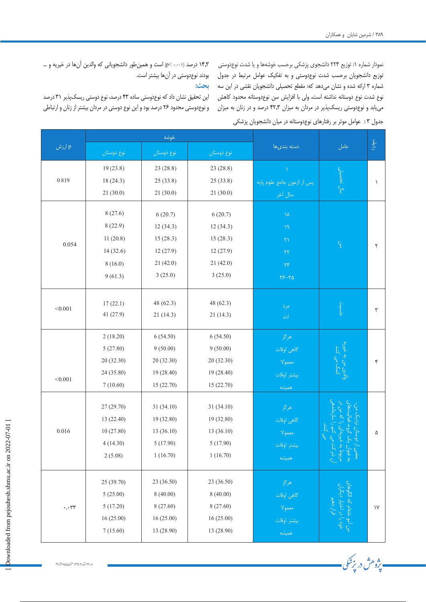- پژوهش در بزشکی.

نمودار شماره ۱: توزیع ۲۲۴ دانشجوی پزشکی برحسب خوشهها و یا شدت نوعدوستی توزیع دانشجویان برحسب شدت نوعدوستی و به تفکیک عوامل مرتبط در جدول بودند نوعدوستی در آنها بیشتر است. شماره 3 ارائه شده و نشان میدهد که: مقطع تحصیلی دانشجویان نقشی در این سه نوع شدت نوع دوستانه نداشته است، ولی با افزایش سن نوعدوستانه محدود کاهش مییابد و نوعدوستی ریسکپذیر در مردان به میزان 42.3 درصد و در زنان به میزان ۳۸۹ / شرمین شایان و همکاران<br>نمودار شماره ۱: توزیع ۲۲۴ دان<br>نوزیع دانشجویان برحسب شا<br>شماره ۳ ارائه شده و نشان م<sub>و</sub><br>نیابد و نوعدوستی ریسکپذ<br>جنول ۳: عوامل موثر بر رفته<br>جنول ۳: عوامل موثر بر رفته جدول 3 : عوامل موثر بر رفتارهای نوعدوستانه در میان دانشجویان پزشکی

14.3 درصد (0.001 >p (است و همینطور دانشجویانی که والدین آنها در خیریه و ...

## **بحث:**

این تحقیق نشان داد که نوعدوستی ساده 43 درصد، نوع دوستی ریسکپذیر 31 درصد و نوعدوستی محدود 26 درصد بود و این نوع دوستی در مردان بیشتر از زنان و ارتباطی

|                      |            | خوشه       |                |                            |                                   |                         |
|----------------------|------------|------------|----------------|----------------------------|-----------------------------------|-------------------------|
| ارزش $\, {\bf p} \,$ | نوع دوستان | نوع دوستان | نوع دوستان     | دسته بندىها                | عامل                              | ر ڏه.<br>ر              |
|                      | 19(23.8)   | 23 (28.8)  | 23 (28.8)      |                            |                                   |                         |
| 0.819                | 18(24.3)   | 25(33.8)   | 25(33.8)       | پس از ازمون جامع علوم پایه | سال تحصيلي                        | $\lambda$               |
|                      | 21(30.0)   | 21(30.0)   | 21(30.0)       | سال آخر                    |                                   |                         |
|                      | 8(27.6)    | 6(20.7)    | 6(20.7)        | $\lambda\lambda$           |                                   |                         |
|                      | 8(22.9)    | 12(34.3)   | 12(34.3)       | $\mathcal{M}$              |                                   | ٢                       |
|                      | 11(20.8)   | 15(28.3)   | 15(28.3)       | $\mathbf{Y}\lambda$        |                                   |                         |
| 0.054                | 14(32.6)   | 12(27.9)   | 12(27.9)       |                            | Ę.                                |                         |
|                      | 8(16.0)    | 21(42.0)   | 21(42.0)       | $\mathbf{Y}\mathbf{Y}$     |                                   |                         |
|                      | 9(61.3)    | 3(25.0)    | 3(25.0)        | $\forall \mathfrak{f}$     |                                   |                         |
|                      |            |            |                | $Y^{\rho} - Y^{\rho}$      |                                   |                         |
|                      |            |            |                |                            |                                   |                         |
| < 0.001              | 17(22.1)   | 48 (62.3)  | 48(62.3)       | مرد                        | فنسيت                             | ٣                       |
|                      | 41 (27.9)  | 21(14.3)   | 21(14.3)<br>زن |                            |                                   |                         |
|                      | 2(18.20)   | 6(54.50)   | 6(54.50)       | هرگز                       |                                   |                         |
|                      | 5(27.80)   | 9(50.00)   | 9(50.00)       | گاهی اوقات                 | والدين من به خيريه<br>کمک می کنند |                         |
|                      | 20 (32.30) | 20 (32.30) | 20 (32.30)     | معمولا                     |                                   | ۴                       |
|                      | 24 (35.80) | 19 (28.40) | 19 (28.40)     | بيشتر أوقات                |                                   |                         |
| < 0.001              | 7(10.60)   | 15(22.70)  | 15(22.70)      | همیشه                      |                                   |                         |
|                      |            |            |                |                            |                                   |                         |
|                      | 27 (29.70) | 31 (34.10) | 31 (34.10)     | هرگز                       |                                   |                         |
|                      | 13 (22.40) | 19 (32.80) | 19 (32.80)     | گاهی اوقات                 |                                   |                         |
| $0.016\,$            | 10(27.80)  | 13(36.10)  | 13(36.10)      | معمولا                     |                                   | ۵                       |
|                      | 4(14.30)   | 5(17.90)   | 5(17.90)       | بيشتر اوقات                |                                   |                         |
|                      | 2(5.08)    | 1(16.70)   | 1(16.70)       | همیشه                      |                                   |                         |
| $\cdot\,,\cdot$ rr   | 25 (39.70) | 23 (36.50) | 23 (36.50)     |                            |                                   |                         |
|                      | 5(25.00)   | 8(40.00)   | 8(40.00)       | هرگز                       |                                   |                         |
|                      |            |            |                | گاهی اوقات                 |                                   |                         |
|                      | 5(17.20)   | 8 (27.60)  | 8 (27.60)      | $\lambda$ معمولا           |                                   | $\backslash \mathsf{V}$ |
|                      | 16 (25.00) | 16(25.00)  | 16 (25.00)     | ر<br>بیشتر اوقات<br>همیشه  |                                   |                         |
|                      | 7(15.60)   | 13 (28.90) | 13 (28.90)     |                            |                                   |                         |

[ Downloaded from pejouhesh.sbmu.ac.ir on 2022-07-01 ] Downloaded from pejouhesh.sbmu.ac.ir on 2022-07-01]